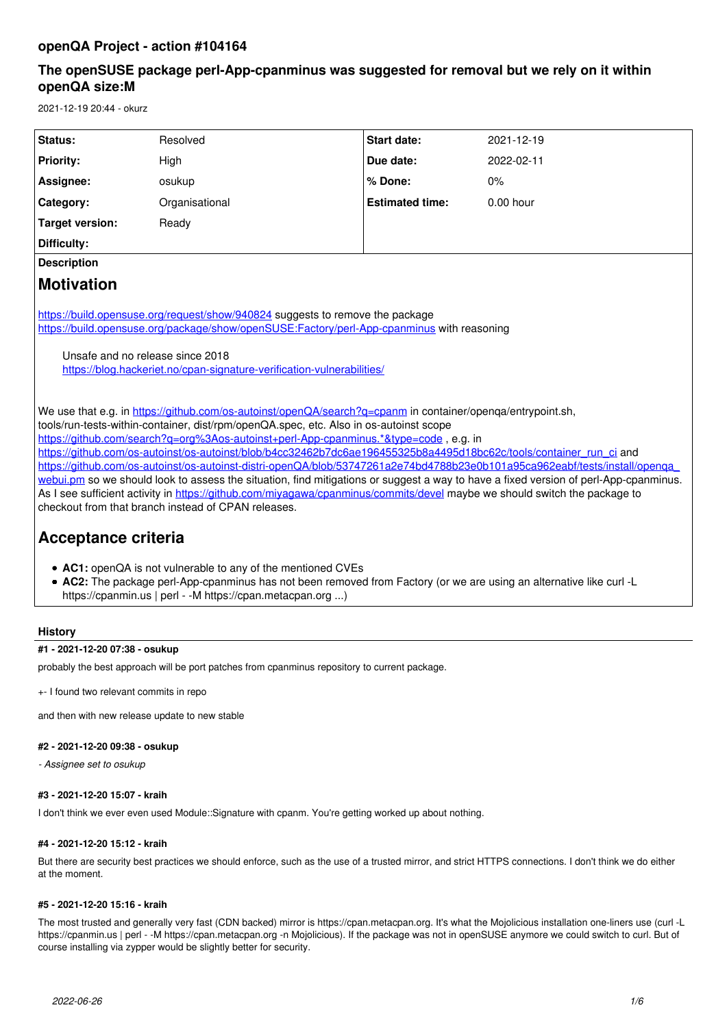# **The openSUSE package perl-App-cpanminus was suggested for removal but we rely on it within openQA size:M**

2021-12-19 20:44 - okurz

| Status:                                                                                                                                                                                                                                                                                                                                                                                                                                                                                            | Resolved       | <b>Start date:</b>     | 2021-12-19  |
|----------------------------------------------------------------------------------------------------------------------------------------------------------------------------------------------------------------------------------------------------------------------------------------------------------------------------------------------------------------------------------------------------------------------------------------------------------------------------------------------------|----------------|------------------------|-------------|
| <b>Priority:</b>                                                                                                                                                                                                                                                                                                                                                                                                                                                                                   | High           | Due date:              | 2022-02-11  |
| Assignee:                                                                                                                                                                                                                                                                                                                                                                                                                                                                                          | osukup         | % Done:                | 0%          |
| Category:                                                                                                                                                                                                                                                                                                                                                                                                                                                                                          | Organisational | <b>Estimated time:</b> | $0.00$ hour |
| <b>Target version:</b>                                                                                                                                                                                                                                                                                                                                                                                                                                                                             | Ready          |                        |             |
| Difficulty:                                                                                                                                                                                                                                                                                                                                                                                                                                                                                        |                |                        |             |
| <b>Description</b>                                                                                                                                                                                                                                                                                                                                                                                                                                                                                 |                |                        |             |
| <b>Motivation</b>                                                                                                                                                                                                                                                                                                                                                                                                                                                                                  |                |                        |             |
| https://build.opensuse.org/request/show/940824 suggests to remove the package<br>https://build.opensuse.org/package/show/openSUSE:Factory/perl-App-cpanminus with reasoning<br>Unsafe and no release since 2018<br>https://blog.hackeriet.no/cpan-signature-verification-vulnerabilities/<br>We use that e.g. in https://github.com/os-autoinst/openQA/search?q=cpanm in container/openqa/entrypoint.sh,<br>tools/run-tests-within-container, dist/rpm/openQA.spec, etc. Also in os-autoinst scope |                |                        |             |
| https://github.com/search?g=org%3Aos-autoinst+perl-App-cpanminus.*&type=code, e.g. in<br>https://github.com/os-autoinst/os-autoinst/blob/b4cc32462b7dc6ae196455325b8a4495d18bc62c/tools/container_run_ci and                                                                                                                                                                                                                                                                                       |                |                        |             |
| https://github.com/os-autoinst/os-autoinst-distri-openQA/blob/53747261a2e74bd4788b23e0b101a95ca962eabf/tests/install/openga<br>webui.pm so we should look to assess the situation, find mitigations or suggest a way to have a fixed version of perl-App-cpanminus.                                                                                                                                                                                                                                |                |                        |             |
| As I see sufficient activity in https://github.com/miyagawa/cpanminus/commits/devel maybe we should switch the package to                                                                                                                                                                                                                                                                                                                                                                          |                |                        |             |
| checkout from that branch instead of CPAN releases.                                                                                                                                                                                                                                                                                                                                                                                                                                                |                |                        |             |
| Acceptance criteria                                                                                                                                                                                                                                                                                                                                                                                                                                                                                |                |                        |             |
| • AC1: openQA is not vulnerable to any of the mentioned CVEs<br>• AC2: The package perl-App-cpanminus has not been removed from Factory (or we are using an alternative like curl -L<br>https://cpanmin.us   perl - -M https://cpan.metacpan.org )                                                                                                                                                                                                                                                 |                |                        |             |

## **History**

## **#1 - 2021-12-20 07:38 - osukup**

probably the best approach will be port patches from cpanminus repository to current package.

+- I found two relevant commits in repo

and then with new release update to new stable

### **#2 - 2021-12-20 09:38 - osukup**

*- Assignee set to osukup*

## **#3 - 2021-12-20 15:07 - kraih**

I don't think we ever even used Module::Signature with cpanm. You're getting worked up about nothing.

### **#4 - 2021-12-20 15:12 - kraih**

But there are security best practices we should enforce, such as the use of a trusted mirror, and strict HTTPS connections. I don't think we do either at the moment.

## **#5 - 2021-12-20 15:16 - kraih**

The most trusted and generally very fast (CDN backed) mirror is https://cpan.metacpan.org. It's what the Mojolicious installation one-liners use (curl -L https://cpanmin.us | perl - -M https://cpan.metacpan.org -n Mojolicious). If the package was not in openSUSE anymore we could switch to curl. But of course installing via zypper would be slightly better for security.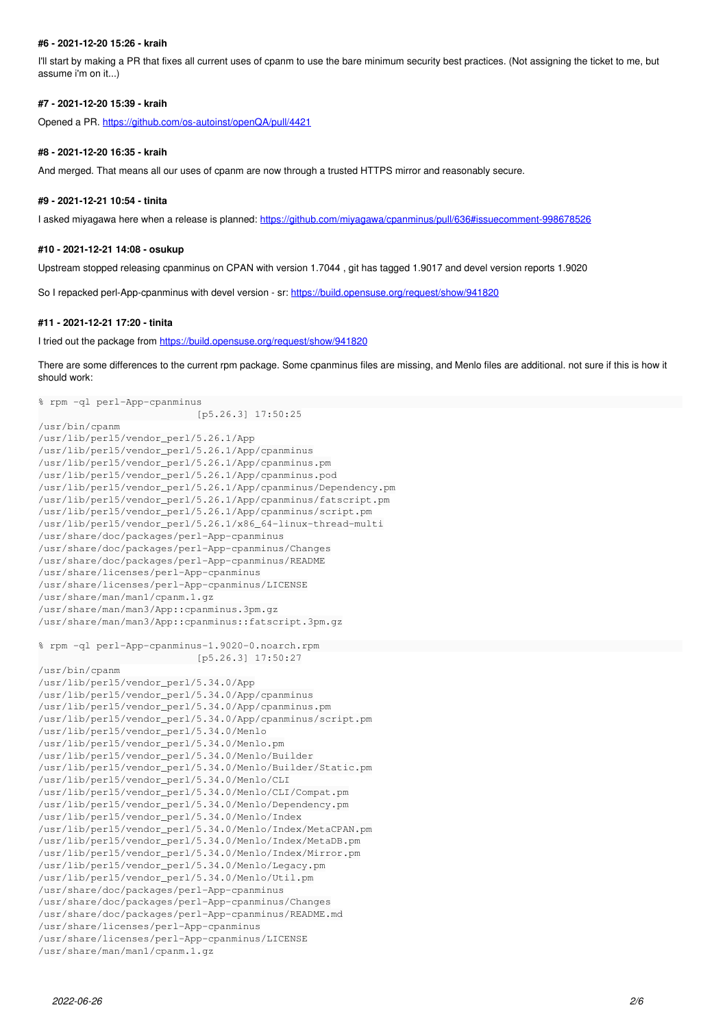### **#6 - 2021-12-20 15:26 - kraih**

I'll start by making a PR that fixes all current uses of cpanm to use the bare minimum security best practices. (Not assigning the ticket to me, but assume i'm on it...)

### **#7 - 2021-12-20 15:39 - kraih**

Opened a PR.<https://github.com/os-autoinst/openQA/pull/4421>

### **#8 - 2021-12-20 16:35 - kraih**

And merged. That means all our uses of cpanm are now through a trusted HTTPS mirror and reasonably secure.

#### **#9 - 2021-12-21 10:54 - tinita**

I asked miyagawa here when a release is planned:<https://github.com/miyagawa/cpanminus/pull/636#issuecomment-998678526>

#### **#10 - 2021-12-21 14:08 - osukup**

Upstream stopped releasing cpanminus on CPAN with version 1.7044 , git has tagged 1.9017 and devel version reports 1.9020

So I repacked perl-App-cpanminus with devel version - sr:<https://build.opensuse.org/request/show/941820>

#### **#11 - 2021-12-21 17:20 - tinita**

I tried out the package from <https://build.opensuse.org/request/show/941820>

There are some differences to the current rpm package. Some cpanminus files are missing, and Menlo files are additional. not sure if this is how it should work:

```
% rpm -ql perl-App-cpanminus
```

```
                           [p5.26.3] 17:50:25
/usr/bin/cpanm
/usr/lib/perl5/vendor_perl/5.26.1/App
/usr/lib/perl5/vendor_perl/5.26.1/App/cpanminus
/usr/lib/perl5/vendor_perl/5.26.1/App/cpanminus.pm
/usr/lib/perl5/vendor_perl/5.26.1/App/cpanminus.pod
/usr/lib/perl5/vendor_perl/5.26.1/App/cpanminus/Dependency.pm
/usr/lib/perl5/vendor_perl/5.26.1/App/cpanminus/fatscript.pm
/usr/lib/perl5/vendor_perl/5.26.1/App/cpanminus/script.pm
/usr/lib/perl5/vendor_perl/5.26.1/x86_64-linux-thread-multi
/usr/share/doc/packages/perl-App-cpanminus
/usr/share/doc/packages/perl-App-cpanminus/Changes
/usr/share/doc/packages/perl-App-cpanminus/README
/usr/share/licenses/perl-App-cpanminus
/usr/share/licenses/perl-App-cpanminus/LICENSE
/usr/share/man/man1/cpanm.1.gz
/usr/share/man/man3/App::cpanminus.3pm.gz
/usr/share/man/man3/App::cpanminus::fatscript.3pm.gz
```

```
% rpm -ql perl-App-cpanminus-1.9020-0.noarch.rpm                                                              
                                [p5.26.3] 17:50:27
```
/usr/bin/cpanm

```
/usr/lib/perl5/vendor_perl/5.34.0/App
/usr/lib/perl5/vendor_perl/5.34.0/App/cpanminus
/usr/lib/perl5/vendor_perl/5.34.0/App/cpanminus.pm
/usr/lib/perl5/vendor_perl/5.34.0/App/cpanminus/script.pm
/usr/lib/perl5/vendor_perl/5.34.0/Menlo
/usr/lib/perl5/vendor_perl/5.34.0/Menlo.pm
/usr/lib/perl5/vendor_perl/5.34.0/Menlo/Builder
/usr/lib/perl5/vendor_perl/5.34.0/Menlo/Builder/Static.pm
/usr/lib/perl5/vendor_perl/5.34.0/Menlo/CLI
/usr/lib/perl5/vendor_perl/5.34.0/Menlo/CLI/Compat.pm
/usr/lib/perl5/vendor_perl/5.34.0/Menlo/Dependency.pm
/usr/lib/perl5/vendor_perl/5.34.0/Menlo/Index
/usr/lib/perl5/vendor_perl/5.34.0/Menlo/Index/MetaCPAN.pm
/usr/lib/perl5/vendor_perl/5.34.0/Menlo/Index/MetaDB.pm
/usr/lib/perl5/vendor_perl/5.34.0/Menlo/Index/Mirror.pm
/usr/lib/perl5/vendor_perl/5.34.0/Menlo/Legacy.pm
/usr/lib/perl5/vendor_perl/5.34.0/Menlo/Util.pm
/usr/share/doc/packages/perl-App-cpanminus
/usr/share/doc/packages/perl-App-cpanminus/Changes
/usr/share/doc/packages/perl-App-cpanminus/README.md
/usr/share/licenses/perl-App-cpanminus
/usr/share/licenses/perl-App-cpanminus/LICENSE
/usr/share/man/man1/cpanm.1.gz
```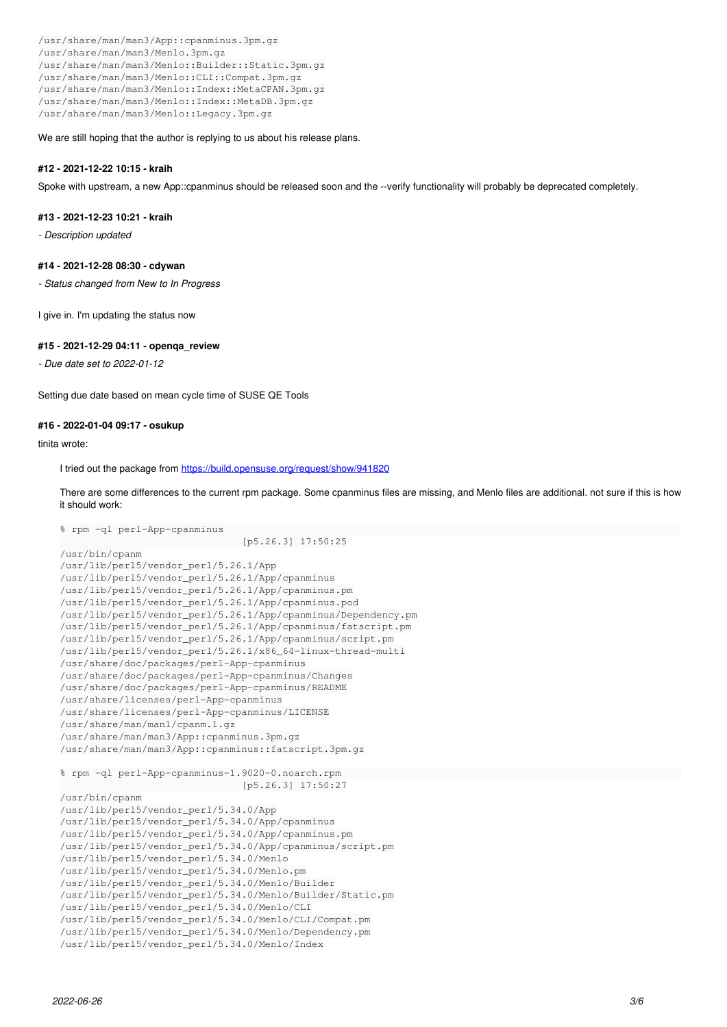/usr/share/man/man3/App::cpanminus.3pm.gz /usr/share/man/man3/Menlo.3pm.gz /usr/share/man/man3/Menlo::Builder::Static.3pm.gz /usr/share/man/man3/Menlo::CLI::Compat.3pm.gz /usr/share/man/man3/Menlo::Index::MetaCPAN.3pm.gz /usr/share/man/man3/Menlo::Index::MetaDB.3pm.gz /usr/share/man/man3/Menlo::Legacy.3pm.gz

We are still hoping that the author is replying to us about his release plans.

## **#12 - 2021-12-22 10:15 - kraih**

Spoke with upstream, a new App::cpanminus should be released soon and the --verify functionality will probably be deprecated completely.

### **#13 - 2021-12-23 10:21 - kraih**

*- Description updated*

### **#14 - 2021-12-28 08:30 - cdywan**

*- Status changed from New to In Progress*

I give in. I'm updating the status now

### **#15 - 2021-12-29 04:11 - openqa\_review**

% rpm -ql perl-App-cpanminus

*- Due date set to 2022-01-12*

Setting due date based on mean cycle time of SUSE QE Tools

## **#16 - 2022-01-04 09:17 - osukup**

tinita wrote:

I tried out the package from <https://build.opensuse.org/request/show/941820>

There are some differences to the current rpm package. Some cpanminus files are missing, and Menlo files are additional. not sure if this is how it should work:

```
                               [p5.26.3] 17:50:25
/usr/bin/cpanm
/usr/lib/perl5/vendor_perl/5.26.1/App
/usr/lib/perl5/vendor_perl/5.26.1/App/cpanminus
/usr/lib/perl5/vendor_perl/5.26.1/App/cpanminus.pm
/usr/lib/perl5/vendor_perl/5.26.1/App/cpanminus.pod
/usr/lib/perl5/vendor_perl/5.26.1/App/cpanminus/Dependency.pm
/usr/lib/perl5/vendor_perl/5.26.1/App/cpanminus/fatscript.pm
/usr/lib/perl5/vendor_perl/5.26.1/App/cpanminus/script.pm
/usr/lib/perl5/vendor_perl/5.26.1/x86_64-linux-thread-multi
/usr/share/doc/packages/perl-App-cpanminus
/usr/share/doc/packages/perl-App-cpanminus/Changes
/usr/share/doc/packages/perl-App-cpanminus/README
/usr/share/licenses/perl-App-cpanminus
/usr/share/licenses/perl-App-cpanminus/LICENSE
/usr/share/man/man1/cpanm.1.gz
/usr/share/man/man3/App::cpanminus.3pm.gz
/usr/share/man/man3/App::cpanminus::fatscript.3pm.gz
% rpm -ql perl-App-cpanminus-1.9020-0.noarch.rpm                                                          
                                                               [p5.26.3] 17:50:27
/usr/bin/cpanm
/usr/lib/perl5/vendor_perl/5.34.0/App
/usr/lib/perl5/vendor_perl/5.34.0/App/cpanminus
/usr/lib/perl5/vendor_perl/5.34.0/App/cpanminus.pm
/usr/lib/perl5/vendor_perl/5.34.0/App/cpanminus/script.pm
/usr/lib/perl5/vendor_perl/5.34.0/Menlo
/usr/lib/perl5/vendor_perl/5.34.0/Menlo.pm
/usr/lib/perl5/vendor_perl/5.34.0/Menlo/Builder
/usr/lib/perl5/vendor_perl/5.34.0/Menlo/Builder/Static.pm
/usr/lib/perl5/vendor_perl/5.34.0/Menlo/CLI
/usr/lib/perl5/vendor_perl/5.34.0/Menlo/CLI/Compat.pm
/usr/lib/perl5/vendor_perl/5.34.0/Menlo/Dependency.pm
/usr/lib/perl5/vendor_perl/5.34.0/Menlo/Index
```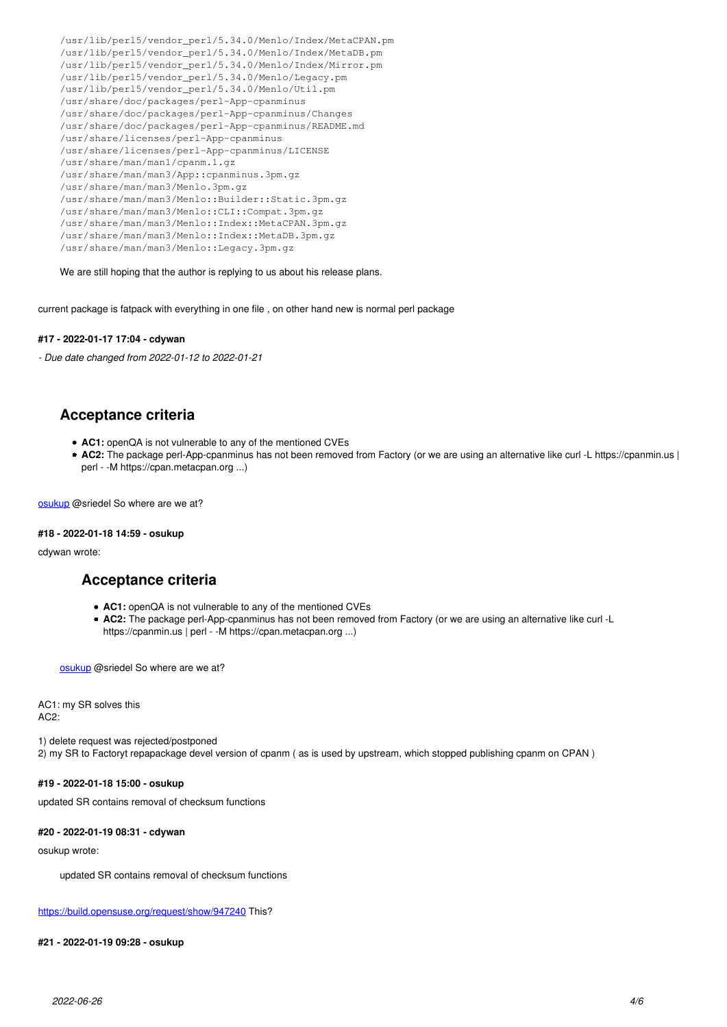/usr/lib/perl5/vendor\_perl/5.34.0/Menlo/Index/MetaCPAN.pm /usr/lib/perl5/vendor\_perl/5.34.0/Menlo/Index/MetaDB.pm /usr/lib/perl5/vendor\_perl/5.34.0/Menlo/Index/Mirror.pm /usr/lib/perl5/vendor\_perl/5.34.0/Menlo/Legacy.pm /usr/lib/perl5/vendor\_perl/5.34.0/Menlo/Util.pm /usr/share/doc/packages/perl-App-cpanminus /usr/share/doc/packages/perl-App-cpanminus/Changes /usr/share/doc/packages/perl-App-cpanminus/README.md /usr/share/licenses/perl-App-cpanminus /usr/share/licenses/perl-App-cpanminus/LICENSE /usr/share/man/man1/cpanm.1.gz /usr/share/man/man3/App::cpanminus.3pm.gz /usr/share/man/man3/Menlo.3pm.gz /usr/share/man/man3/Menlo::Builder::Static.3pm.gz /usr/share/man/man3/Menlo::CLI::Compat.3pm.gz /usr/share/man/man3/Menlo::Index::MetaCPAN.3pm.gz /usr/share/man/man3/Menlo::Index::MetaDB.3pm.gz /usr/share/man/man3/Menlo::Legacy.3pm.gz

We are still hoping that the author is replying to us about his release plans.

current package is fatpack with everything in one file , on other hand new is normal perl package

### **#17 - 2022-01-17 17:04 - cdywan**

*- Due date changed from 2022-01-12 to 2022-01-21*

## **Acceptance criteria**

- **AC1:** openQA is not vulnerable to any of the mentioned CVEs
- **AC2:** The package perl-App-cpanminus has not been removed from Factory (or we are using an alternative like curl -L https://cpanmin.us | perl - -M https://cpan.metacpan.org ...)

[osukup](progress.opensuse.org/users/21806) @sriedel So where are we at?

### **#18 - 2022-01-18 14:59 - osukup**

cdywan wrote:

## **Acceptance criteria**

- **AC1:** openQA is not vulnerable to any of the mentioned CVEs
- **AC2:** The package perl-App-cpanminus has not been removed from Factory (or we are using an alternative like curl -L https://cpanmin.us | perl - -M https://cpan.metacpan.org ...)

[osukup](progress.opensuse.org/users/21806) @sriedel So where are we at?

AC1: my SR solves this AC2:

1) delete request was rejected/postponed 2) my SR to Factoryt repapackage devel version of cpanm ( as is used by upstream, which stopped publishing cpanm on CPAN )

## **#19 - 2022-01-18 15:00 - osukup**

updated SR contains removal of checksum functions

### **#20 - 2022-01-19 08:31 - cdywan**

osukup wrote:

updated SR contains removal of checksum functions

<https://build.opensuse.org/request/show/947240>This?

### **#21 - 2022-01-19 09:28 - osukup**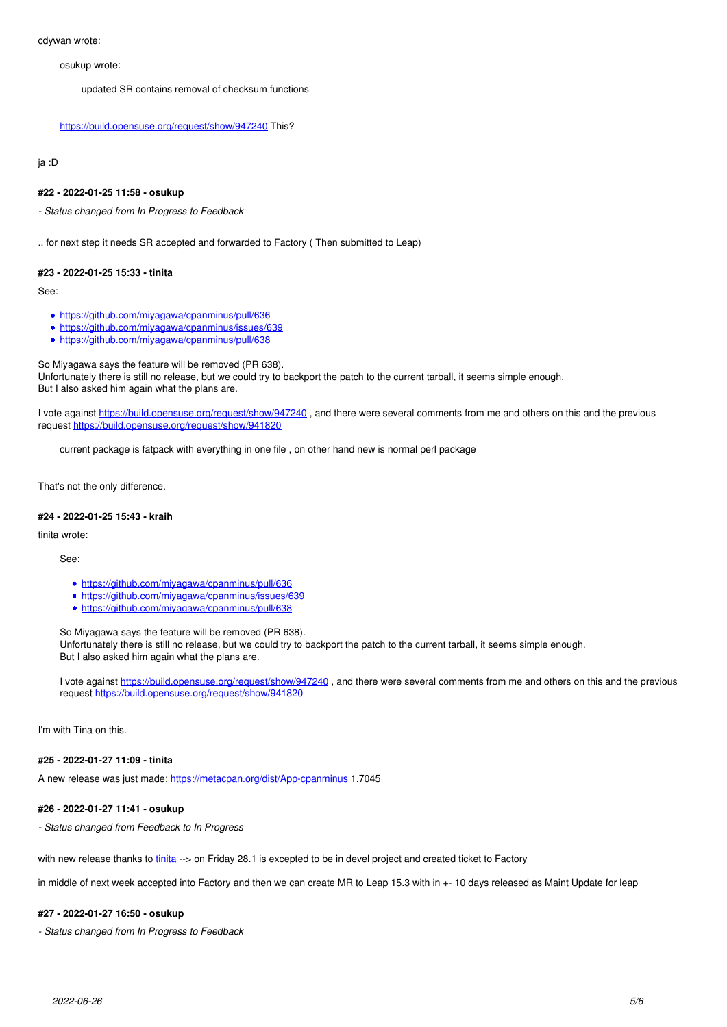osukup wrote:

updated SR contains removal of checksum functions

### <https://build.opensuse.org/request/show/947240> This?

## ja :D

### **#22 - 2022-01-25 11:58 - osukup**

*- Status changed from In Progress to Feedback*

.. for next step it needs SR accepted and forwarded to Factory ( Then submitted to Leap)

### **#23 - 2022-01-25 15:33 - tinita**

See:

- <https://github.com/miyagawa/cpanminus/pull/636>
- <https://github.com/miyagawa/cpanminus/issues/639>
- <https://github.com/miyagawa/cpanminus/pull/638>

So Miyagawa says the feature will be removed (PR 638). Unfortunately there is still no release, but we could try to backport the patch to the current tarball, it seems simple enough. But I also asked him again what the plans are.

I vote against <https://build.opensuse.org/request/show/947240>, and there were several comments from me and others on this and the previous request<https://build.opensuse.org/request/show/941820>

current package is fatpack with everything in one file , on other hand new is normal perl package

That's not the only difference.

#### **#24 - 2022-01-25 15:43 - kraih**

tinita wrote:

See:

- <https://github.com/miyagawa/cpanminus/pull/636>
- <https://github.com/miyagawa/cpanminus/issues/639>
- <https://github.com/miyagawa/cpanminus/pull/638>

So Miyagawa says the feature will be removed (PR 638).

Unfortunately there is still no release, but we could try to backport the patch to the current tarball, it seems simple enough. But I also asked him again what the plans are.

I vote against <https://build.opensuse.org/request/show/947240>, and there were several comments from me and others on this and the previous request <https://build.opensuse.org/request/show/941820>

I'm with Tina on this.

## **#25 - 2022-01-27 11:09 - tinita**

A new release was just made: <https://metacpan.org/dist/App-cpanminus> 1.7045

## **#26 - 2022-01-27 11:41 - osukup**

*- Status changed from Feedback to In Progress*

with new release thanks to [tinita](progress.opensuse.org/users/33482) --> on Friday 28.1 is excepted to be in devel project and created ticket to Factory

in middle of next week accepted into Factory and then we can create MR to Leap 15.3 with in +- 10 days released as Maint Update for leap

## **#27 - 2022-01-27 16:50 - osukup**

*- Status changed from In Progress to Feedback*